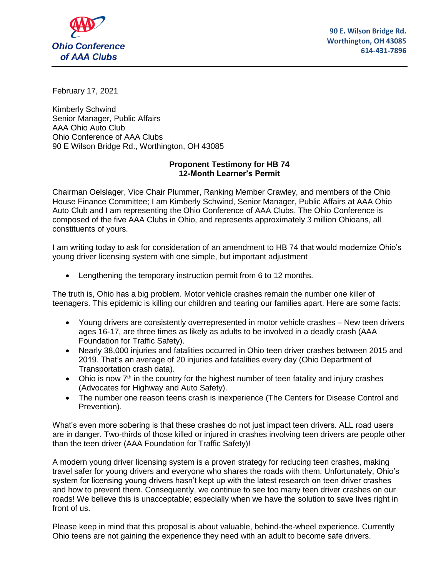

**90 E. Wilson Bridge Rd. Worthington, OH 43085 614-431-7896** 

February 17, 2021

Kimberly Schwind Senior Manager, Public Affairs AAA Ohio Auto Club Ohio Conference of AAA Clubs 90 E Wilson Bridge Rd., Worthington, OH 43085

## **Proponent Testimony for HB 74 12-Month Learner's Permit**

Chairman Oelslager, Vice Chair Plummer, Ranking Member Crawley, and members of the Ohio House Finance Committee; I am Kimberly Schwind, Senior Manager, Public Affairs at AAA Ohio Auto Club and I am representing the Ohio Conference of AAA Clubs. The Ohio Conference is composed of the five AAA Clubs in Ohio, and represents approximately 3 million Ohioans, all constituents of yours.

I am writing today to ask for consideration of an amendment to HB 74 that would modernize Ohio's young driver licensing system with one simple, but important adjustment

Lengthening the temporary instruction permit from 6 to 12 months.

The truth is, Ohio has a big problem. Motor vehicle crashes remain the number one killer of teenagers. This epidemic is killing our children and tearing our families apart. Here are some facts:

- Young drivers are consistently overrepresented in motor vehicle crashes New teen drivers ages 16-17, are three times as likely as adults to be involved in a deadly crash (AAA Foundation for Traffic Safety).
- Nearly 38,000 injuries and fatalities occurred in Ohio teen driver crashes between 2015 and 2019. That's an average of 20 injuries and fatalities every day (Ohio Department of Transportation crash data).
- $\bullet$  Ohio is now  $7<sup>th</sup>$  in the country for the highest number of teen fatality and injury crashes (Advocates for Highway and Auto Safety).
- The number one reason teens crash is inexperience (The Centers for Disease Control and Prevention).

What's even more sobering is that these crashes do not just impact teen drivers. ALL road users are in danger. Two-thirds of those killed or injured in crashes involving teen drivers are people other than the teen driver (AAA Foundation for Traffic Safety)!

A modern young driver licensing system is a proven strategy for reducing teen crashes, making travel safer for young drivers and everyone who shares the roads with them. Unfortunately, Ohio's system for licensing young drivers hasn't kept up with the latest research on teen driver crashes and how to prevent them. Consequently, we continue to see too many teen driver crashes on our roads! We believe this is unacceptable; especially when we have the solution to save lives right in front of us.

Please keep in mind that this proposal is about valuable, behind-the-wheel experience. Currently Ohio teens are not gaining the experience they need with an adult to become safe drivers.